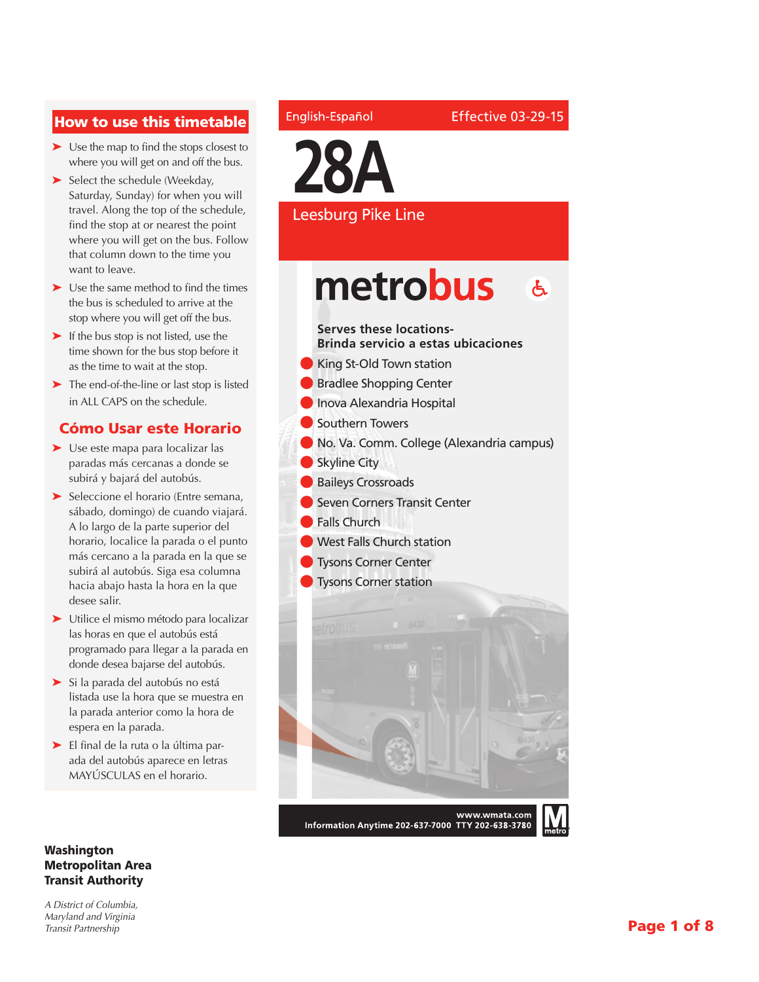### How to use this timetable

- ➤ Use the map to find the stops closest to where you will get on and off the bus.
- ➤ Select the schedule (Weekday, Saturday, Sunday) for when you will travel. Along the top of the schedule, find the stop at or nearest the point where you will get on the bus. Follow that column down to the time you want to leave.
- ➤ Use the same method to find the times the bus is scheduled to arrive at the stop where you will get off the bus.
- ► If the bus stop is not listed, use the time shown for the bus stop before it as the time to wait at the stop.
- ➤ The end-of-the-line or last stop is listed in ALL CAPS on the schedule.

### Cómo Usar este Horario

- ➤ Use este mapa para localizar las paradas más cercanas a donde se subirá y bajará del autobús.
- ➤ Seleccione el horario (Entre semana, sábado, domingo) de cuando viajará. A lo largo de la parte superior del horario, localice la parada o el punto más cercano a la parada en la que se subirá al autobús. Siga esa columna hacia abajo hasta la hora en la que desee salir.
- ➤ Utilice el mismo método para localizar las horas en que el autobús está programado para llegar a la parada en donde desea bajarse del autobús.
- ➤ Si la parada del autobús no está listada use la hora que se muestra en la parada anterior como la hora de espera en la parada.
- ➤ El final de la ruta o la última parada del autobús aparece en letras MAYÚSCULAS en el horario.

#### Washington Metropolitan Area Transit Authority

*A District of Columbia, Maryland and Virginia Transit Partnership*

#### English-Español



### Leesburg Pike Line

### metrobus **X**

### **Serves these locations-**

**Brinda servicio a estas ubicaciones**

- King St-Old Town station
- **Bradlee Shopping Center**
- **Inova Alexandria Hospital**
- l Southern Towers
- l No. Va. Comm. College (Alexandria campus)
- $\bullet$  Skyline City
- **Baileys Crossroads**
- l Seven Corners Transit Center
- **Falls Church**
- **I** West Falls Church station
- **I** Tysons Corner Center
- **lacks** Tysons Corner station



Information Anytime 202-637-7000 TTY 202-638-3780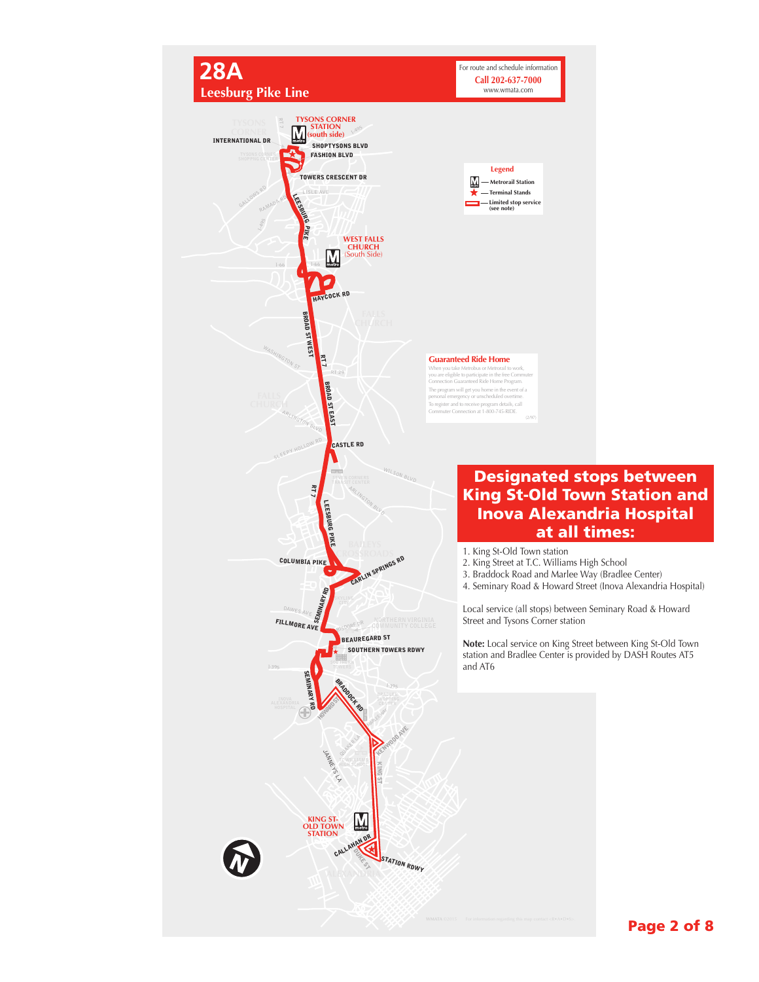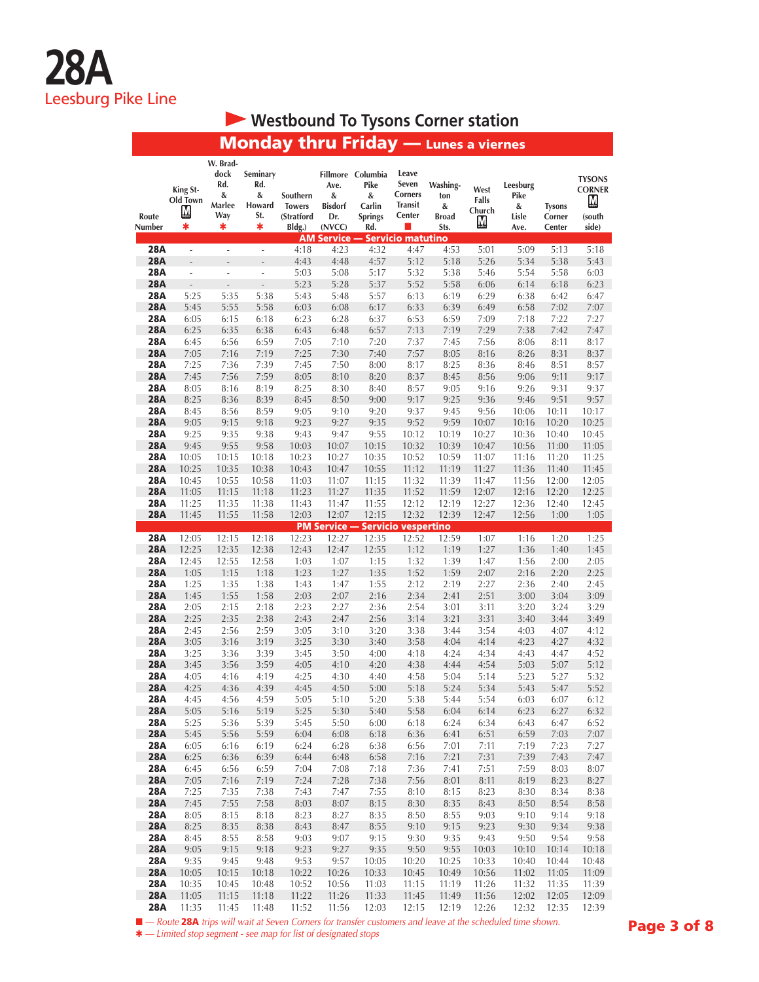## **• Westbound To Tysons Corner station**

## Monday thru Friday — Lunes a viernes

| Route                    | King St-<br>Old Town<br>M | W. Brad-<br>dock<br>Rd.<br>&<br>Marlee<br>Way | Seminary<br>Rd.<br>&<br>Howard<br>St. | Southern<br><b>Towers</b><br>(Stratford | Ave.<br>&<br><b>Bisdorf</b><br>Dr. | Fillmore Columbia<br>Pike<br>&<br>Carlin<br><b>Springs</b> | Leave<br>Seven<br>Corners<br><b>Transit</b><br>Center | Washing-<br>ton<br>&<br><b>Broad</b> | West<br>Falls<br>Church<br>M | Leesburg<br>Pike<br>&<br>Lisle | <b>Tysons</b><br>Corner | <b>TYSONS</b><br><b>CORNER</b><br><u>M</u><br>(south |
|--------------------------|---------------------------|-----------------------------------------------|---------------------------------------|-----------------------------------------|------------------------------------|------------------------------------------------------------|-------------------------------------------------------|--------------------------------------|------------------------------|--------------------------------|-------------------------|------------------------------------------------------|
| Number                   | *                         | *                                             | *                                     | Bldg.)                                  | (NVCC)<br><b>AM Service --</b>     | Rd.                                                        | a a<br><b>Servicio matutino</b>                       | Sts.                                 |                              | Ave.                           | Center                  | side)                                                |
| <b>28A</b>               | $\overline{\phantom{a}}$  | $\overline{\phantom{a}}$                      | ä,                                    | 4:18                                    | 4:23                               | 4:32                                                       | 4:47                                                  | 4:53                                 | 5:01                         | 5:09                           | 5:13                    | 5:18                                                 |
| <b>28A</b>               | $\overline{a}$            | $\overline{a}$                                | L,                                    | 4:43                                    | 4:48                               | 4:57                                                       | 5:12                                                  | 5:18                                 | 5:26                         | 5:34                           | 5:38                    | 5:43                                                 |
| 28A                      | ÷,                        | ÷,                                            | ÷,                                    | 5:03                                    | 5:08                               | 5:17                                                       | 5:32                                                  | 5:38                                 | 5:46                         | 5:54                           | 5:58                    | 6:03                                                 |
| <b>28A</b>               | Ĭ.                        |                                               | $\overline{a}$                        | 5:23                                    | 5:28                               | 5:37                                                       | 5:52                                                  | 5:58                                 | 6:06                         | 6:14                           | 6:18                    | 6:23                                                 |
| <b>28A</b>               | 5:25                      | 5:35                                          | 5:38                                  | 5:43                                    | 5:48                               | 5:57                                                       | 6:13                                                  | 6:19                                 | 6:29                         | 6:38                           | 6:42                    | 6:47                                                 |
| <b>28A</b>               | 5:45                      | 5:55                                          | 5:58                                  | 6:03                                    | 6:08                               | 6:17                                                       | 6:33                                                  | 6:39                                 | 6:49                         | 6:58                           | 7:02                    | 7:07                                                 |
| <b>28A</b><br><b>28A</b> | 6:05<br>6:25              | 6:15<br>6:35                                  | 6:18<br>6:38                          | 6:23<br>6:43                            | 6:28                               | 6:37<br>6:57                                               | 6:53<br>7:13                                          | 6:59<br>7:19                         | 7:09<br>7:29                 | 7:18<br>7:38                   | 7:22<br>7:42            | 7:27<br>7:47                                         |
| 28A                      | 6:45                      | 6:56                                          | 6:59                                  | 7:05                                    | 6:48<br>7:10                       | 7:20                                                       | 7:37                                                  | 7:45                                 | 7:56                         | 8:06                           | 8:11                    | 8:17                                                 |
| <b>28A</b>               | 7:05                      | 7:16                                          | 7:19                                  | 7:25                                    | 7:30                               | 7:40                                                       | 7:57                                                  | 8:05                                 | 8:16                         | 8:26                           | 8:31                    | 8:37                                                 |
| <b>28A</b>               | 7:25                      | 7:36                                          | 7:39                                  | 7:45                                    | 7:50                               | 8:00                                                       | 8:17                                                  | 8:25                                 | 8:36                         | 8:46                           | 8:51                    | 8:57                                                 |
| <b>28A</b>               | 7:45                      | 7:56                                          | 7:59                                  | 8:05                                    | 8:10                               | 8:20                                                       | 8:37                                                  | 8:45                                 | 8:56                         | 9:06                           | 9:11                    | 9:17                                                 |
| <b>28A</b>               | 8:05                      | 8:16                                          | 8:19                                  | 8:25                                    | 8:30                               | 8:40                                                       | 8:57                                                  | 9:05                                 | 9:16                         | 9:26                           | 9:31                    | 9:37                                                 |
| <b>28A</b>               | 8:25                      | 8:36                                          | 8:39                                  | 8:45                                    | 8:50                               | 9:00                                                       | 9:17                                                  | 9:25                                 | 9:36                         | 9:46                           | 9:51                    | 9:57                                                 |
| 28A                      | 8:45                      | 8:56                                          | 8:59                                  | 9:05                                    | 9:10                               | 9:20                                                       | 9:37                                                  | 9:45                                 | 9:56                         | 10:06                          | 10:11                   | 10:17                                                |
| <b>28A</b>               | 9:05                      | 9:15                                          | 9:18                                  | 9:23                                    | 9:27                               | 9:35                                                       | 9:52                                                  | 9:59                                 | 10:07                        | 10:16                          | 10:20                   | 10:25                                                |
| <b>28A</b><br><b>28A</b> | 9:25<br>9:45              | 9:35<br>9:55                                  | 9:38<br>9:58                          | 9:43<br>10:03                           | 9:47<br>10:07                      | 9:55<br>10:15                                              | 10:12<br>10:32                                        | 10:19<br>10:39                       | 10:27<br>10:47               | 10:36<br>10:56                 | 10:40<br>11:00          | 10:45<br>11:05                                       |
| <b>28A</b>               | 10:05                     | 10:15                                         | 10:18                                 | 10:23                                   | 10:27                              | 10:35                                                      | 10:52                                                 | 10:59                                | 11:07                        | 11:16                          | 11:20                   | 11:25                                                |
| <b>28A</b>               | 10:25                     | 10:35                                         | 10:38                                 | 10:43                                   | 10:47                              | 10:55                                                      | 11:12                                                 | 11:19                                | 11:27                        | 11:36                          | 11:40                   | 11:45                                                |
| <b>28A</b>               | 10:45                     | 10:55                                         | 10:58                                 | 11:03                                   | 11:07                              | 11:15                                                      | 11:32                                                 | 11:39                                | 11:47                        | 11:56                          | 12:00                   | 12:05                                                |
| <b>28A</b>               | 11:05                     | 11:15                                         | 11:18                                 | 11:23                                   | 11:27                              | 11:35                                                      | 11:52                                                 | 11:59                                | 12:07                        | 12:16                          | 12:20                   | 12:25                                                |
| <b>28A</b>               | 11:25                     | 11:35                                         | 11:38                                 | 11:43                                   | 11:47                              | 11:55                                                      | 12:12                                                 | 12:19                                | 12:27                        | 12:36                          | 12:40                   | 12:45                                                |
| <b>28A</b>               | 11:45                     | 11:55                                         | 11:58                                 | 12:03                                   | 12:07                              | 12:15                                                      | 12:32                                                 | 12:39                                | 12:47                        | 12:56                          | 1:00                    | 1:05                                                 |
|                          |                           |                                               |                                       |                                         |                                    | <b>PM Service - Servicio vespertino</b>                    |                                                       |                                      |                              |                                |                         |                                                      |
| <b>28A</b><br><b>28A</b> | 12:05<br>12:25            | 12:15<br>12:35                                | 12:18<br>12:38                        | 12:23<br>12:43                          | 12:27<br>12:47                     | 12:35                                                      | 12:52<br>1:12                                         | 12:59<br>1:19                        | 1:07<br>1:27                 | 1:16                           | 1:20                    | 1:25<br>1:45                                         |
| <b>28A</b>               | 12:45                     | 12:55                                         | 12:58                                 | 1:03                                    | 1:07                               | 12:55<br>1:15                                              | 1:32                                                  | 1:39                                 | 1:47                         | 1:36<br>1:56                   | 1:40<br>2:00            | 2:05                                                 |
| <b>28A</b>               | 1:05                      | 1:15                                          | 1:18                                  | 1:23                                    | 1:27                               | 1:35                                                       | 1:52                                                  | 1:59                                 | 2:07                         | 2:16                           | 2:20                    | 2:25                                                 |
| <b>28A</b>               | 1:25                      | 1:35                                          | 1:38                                  | 1:43                                    | 1:47                               | 1:55                                                       | 2:12                                                  | 2:19                                 | 2:27                         | 2:36                           | 2:40                    | 2:45                                                 |
| <b>28A</b>               | 1:45                      | 1:55                                          | 1:58                                  | 2:03                                    | 2:07                               | 2:16                                                       | 2:34                                                  | 2:41                                 | 2:51                         | 3:00                           | 3:04                    | 3:09                                                 |
| <b>28A</b>               | 2:05                      | 2:15                                          | 2:18                                  | 2:23                                    | 2:27                               | 2:36                                                       | 2:54                                                  | 3:01                                 | 3:11                         | 3:20                           | 3:24                    | 3:29                                                 |
| <b>28A</b>               | 2:25                      | 2:35                                          | 2:38                                  | 2:43                                    | 2:47                               | 2:56                                                       | 3:14                                                  | 3:21                                 | 3:31                         | 3:40                           | 3:44                    | 3:49                                                 |
| 28A                      | 2:45                      | 2:56                                          | 2:59                                  | 3:05                                    | 3:10                               | 3:20                                                       | 3:38                                                  | 3:44                                 | 3:54                         | 4:03                           | 4:07                    | 4:12                                                 |
| <b>28A</b>               | 3:05                      | 3:16                                          | 3:19                                  | 3:25                                    | 3:30                               | 3:40                                                       | 3:58                                                  | 4:04                                 | 4:14                         | 4:23                           | 4:27                    | 4:32                                                 |
| 28A<br><b>28A</b>        | 3:25<br>3:45              | 3:36<br>3:56                                  | 3:39<br>3:59                          | 3:45<br>4:05                            | 3:50<br>4:10                       | 4:00<br>4:20                                               | 4:18<br>4:38                                          | 4:24<br>4:44                         | 4:34<br>4:54                 | 4:43<br>5:03                   | 4:47<br>5:07            | 4:52<br>5:12                                         |
| <b>28A</b>               | 4:05                      | 4:16                                          | 4:19                                  | 4:25                                    | 4:30                               | 4:40                                                       | 4:58                                                  | 5:04                                 | 5:14                         | 5:23                           | 5:27                    | 5:32                                                 |
| <b>28A</b>               | 4:25                      | 4:36                                          | 4:39                                  | 4:45                                    | 4:50                               | 5:00                                                       | 5:18                                                  | 5:24                                 | 5:34                         | 5:43                           | 5:47                    | 5:52                                                 |
| 28A                      | 4:45                      | 4:56                                          | 4:59                                  | 5:05                                    | 5:10                               | 5:20                                                       | 5:38                                                  | 5:44                                 | 5:54                         | 6:03                           | 6:07                    | 6:12                                                 |
| <b>28A</b>               | 5:05                      | 5:16                                          | 5:19                                  | 5:25                                    | 5:30                               | 5:40                                                       | 5:58                                                  | 6:04                                 | 6:14                         | 6:23                           | 6:27                    | 6:32                                                 |
| <b>28A</b>               | 5:25                      | 5:36                                          | 5:39                                  | 5:45                                    | 5:50                               | 6:00                                                       | 6:18                                                  | 6:24                                 | 6:34                         | 6:43                           | 6:47                    | 6:52                                                 |
| <b>28A</b>               | 5:45                      | 5:56                                          | 5:59                                  | 6:04                                    | 6:08                               | 6:18                                                       | 6:36                                                  | 6:41                                 | 6:51                         | 6:59                           | 7:03                    | 7:07                                                 |
| <b>28A</b><br><b>28A</b> | 6:05<br>6:25              | 6:16                                          | 6:19<br>6:39                          | 6:24                                    | 6:28                               | 6:38<br>6:58                                               | 6:56<br>7:16                                          | 7:01<br>7:21                         | 7:11<br>7:31                 | 7:19<br>7:39                   | 7:23                    | 7:27<br>7:47                                         |
| <b>28A</b>               | 6:45                      | 6:36<br>6:56                                  | 6:59                                  | 6:44<br>7:04                            | 6:48<br>7:08                       | 7:18                                                       | 7:36                                                  | 7:41                                 | 7:51                         | 7:59                           | 7:43<br>8:03            | 8:07                                                 |
| <b>28A</b>               | 7:05                      | 7:16                                          | 7:19                                  | 7:24                                    | 7:28                               | 7:38                                                       | 7:56                                                  | 8:01                                 | 8:11                         | 8:19                           | 8:23                    | 8:27                                                 |
| <b>28A</b>               | 7:25                      | 7:35                                          | 7:38                                  | 7:43                                    | 7:47                               | 7:55                                                       | 8:10                                                  | 8:15                                 | 8:23                         | 8:30                           | 8:34                    | 8:38                                                 |
| <b>28A</b>               | 7:45                      | 7:55                                          | 7:58                                  | 8:03                                    | 8:07                               | 8:15                                                       | 8:30                                                  | 8:35                                 | 8:43                         | 8:50                           | 8:54                    | 8:58                                                 |
| <b>28A</b>               | 8:05                      | 8:15                                          | 8:18                                  | 8:23                                    | 8:27                               | 8:35                                                       | 8:50                                                  | 8:55                                 | 9:03                         | 9:10                           | 9:14                    | 9:18                                                 |
| <b>28A</b>               | 8:25                      | 8:35                                          | 8:38                                  | 8:43                                    | 8:47                               | 8:55                                                       | 9:10                                                  | 9:15                                 | 9:23                         | 9:30                           | 9:34                    | 9:38                                                 |
| <b>28A</b>               | 8:45                      | 8:55                                          | 8:58                                  | 9:03                                    | 9:07                               | 9:15                                                       | 9:30                                                  | 9:35                                 | 9:43                         | 9:50                           | 9:54                    | 9:58                                                 |
| <b>28A</b><br><b>28A</b> | 9:05<br>9:35              | 9:15<br>9:45                                  | 9:18<br>9:48                          | 9:23<br>9:53                            | 9:27<br>9:57                       | 9:35<br>10:05                                              | 9:50<br>10:20                                         | 9:55<br>10:25                        | 10:03<br>10:33               | 10:10<br>10:40                 | 10:14<br>10:44          | 10:18<br>10:48                                       |
| <b>28A</b>               | 10:05                     | 10:15                                         | 10:18                                 | 10:22                                   | 10:26                              | 10:33                                                      | 10:45                                                 | 10:49                                | 10:56                        | 11:02                          | 11:05                   | 11:09                                                |
| <b>28A</b>               | 10:35                     | 10:45                                         | 10:48                                 | 10:52                                   | 10:56                              | 11:03                                                      | 11:15                                                 | 11:19                                | 11:26                        | 11:32                          | 11:35                   | 11:39                                                |
| <b>28A</b>               | 11:05                     | 11:15                                         | 11:18                                 | 11:22                                   | 11:26                              | 11:33                                                      | 11:45                                                 | 11:49                                | 11:56                        | 12:02                          | 12:05                   | 12:09                                                |
| <b>28A</b>               | 11:35                     | 11:45                                         | 11:48                                 | 11:52                                   | 11:56                              | 12:03                                                      | 12:15                                                 | 12:19                                | 12:26                        | 12:32                          | 12:35                   | 12:39                                                |

■ — Route 28A trips will wait at Seven Corners for transfer customers and leave at the scheduled time shown.

Q *— Limited stop segment - see map for list of designated stops*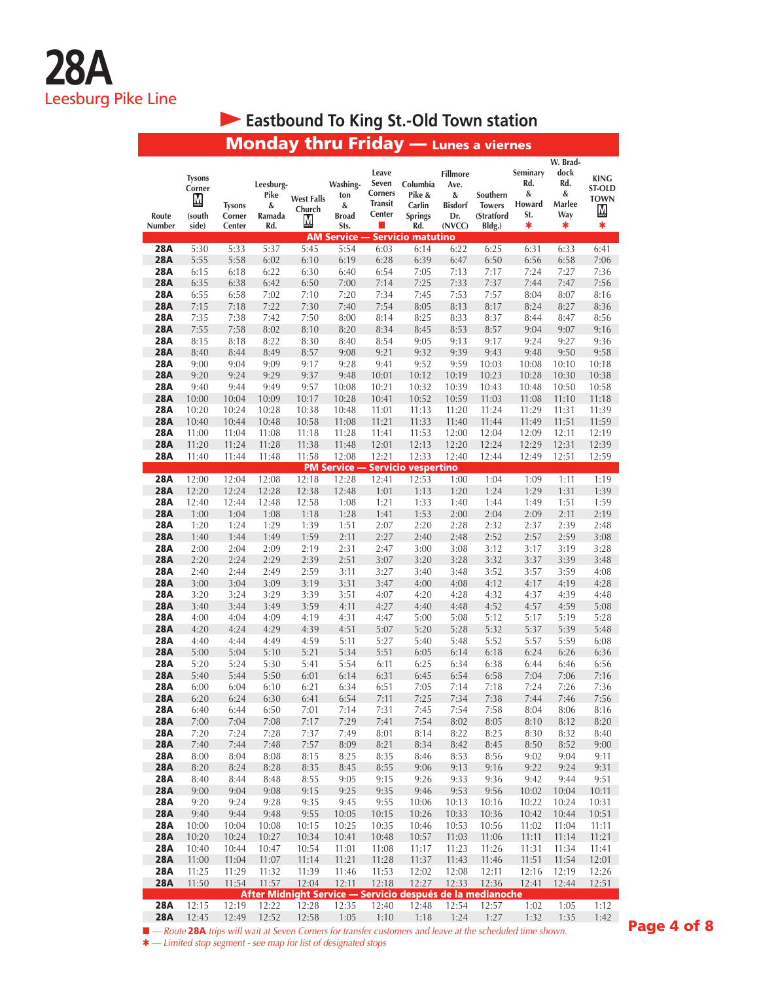# **Eastbound To King St.-Old Town station**

|                          |                                                 |                                   | <b>Monday thru Friday</b> — Lunes a viernes                                                                         |                                  |                                                                     |                                                       |                                                       |                                                                 |                                                   |                                            |                                                    |                                                       |
|--------------------------|-------------------------------------------------|-----------------------------------|---------------------------------------------------------------------------------------------------------------------|----------------------------------|---------------------------------------------------------------------|-------------------------------------------------------|-------------------------------------------------------|-----------------------------------------------------------------|---------------------------------------------------|--------------------------------------------|----------------------------------------------------|-------------------------------------------------------|
| Route<br>Number          | <b>Tysons</b><br>Corner<br>М<br>(south<br>side) | <b>Tysons</b><br>Corner<br>Center | Leesburg-<br>Pike<br>&<br>Ramada<br>Rd.                                                                             | <b>West Falls</b><br>Church<br>M | Washing-<br>ton<br>&<br><b>Broad</b><br>Sts.<br><b>AM Service -</b> | Leave<br>Seven<br>Corners<br><b>Transit</b><br>Center | Columbia<br>Pike &<br>Carlin<br><b>Springs</b><br>Rd. | <b>Fillmore</b><br>Ave.<br>&<br><b>Bisdorf</b><br>Dr.<br>(NVCC) | Southern<br><b>Towers</b><br>(Stratford<br>Bldg.) | Seminary<br>Rd.<br>&<br>Howard<br>St.<br>* | W. Brad-<br>dock<br>Rd.<br>&<br>Marlee<br>Way<br>* | <b>KING</b><br><b>ST-OLD</b><br><b>TOWN</b><br>М<br>* |
| 28A                      | 5:30                                            | 5:33                              | 5:37                                                                                                                | 5:45                             | 5:54                                                                | 6:03                                                  | <b>Servicio matutino</b><br>6:14                      | 6:22                                                            | 6:25                                              | 6:31                                       | 6:33                                               | 6:41                                                  |
| <b>28A</b>               | 5:55                                            | 5:58                              | 6:02                                                                                                                | 6:10                             | 6:19                                                                | 6:28                                                  | 6:39                                                  | 6:47                                                            | 6:50                                              | 6:56                                       | 6:58                                               | 7:06                                                  |
| 28A                      | 6:15                                            | 6:18                              | 6:22                                                                                                                | 6:30                             | 6:40                                                                | 6:54                                                  | 7:05                                                  | 7:13                                                            | 7:17                                              | 7:24                                       | 7:27                                               | 7:36                                                  |
| <b>28A</b>               | 6:35                                            | 6:38                              | 6:42                                                                                                                | 6:50                             | 7:00                                                                | 7:14                                                  | 7:25                                                  | 7:33                                                            | 7:37                                              | 7:44                                       | 7:47                                               | 7:56                                                  |
| 28A                      | 6:55                                            | 6:58                              | 7:02                                                                                                                | 7:10                             | 7:20                                                                | 7:34                                                  | 7:45                                                  | 7:53                                                            | 7:57                                              | 8:04                                       | 8:07                                               | 8:16                                                  |
| <b>28A</b>               | 7:15                                            | 7:18                              | 7:22                                                                                                                | 7:30                             | 7:40                                                                | 7:54                                                  | 8:05                                                  | 8:13                                                            | 8:17                                              | 8:24                                       | 8:27                                               | 8:36                                                  |
| <b>28A</b>               | 7:35                                            | 7:38                              | 7:42                                                                                                                | 7:50                             | 8:00                                                                | 8:14                                                  | 8:25                                                  | 8:33                                                            | 8:37                                              | 8:44                                       | 8:47                                               | 8:56                                                  |
| <b>28A</b>               | 7:55                                            | 7:58                              | 8:02                                                                                                                | 8:10                             | 8:20                                                                | 8:34                                                  | 8:45                                                  | 8:53                                                            | 8:57                                              | 9:04                                       | 9:07                                               | 9:16                                                  |
| 28A                      | 8:15                                            | 8:18                              | 8:22                                                                                                                | 8:30                             | 8:40                                                                | 8:54                                                  | 9:05                                                  | 9:13                                                            | 9:17                                              | 9:24                                       | 9:27                                               | 9:36                                                  |
| <b>28A</b>               | 8:40                                            | 8:44                              | 8:49                                                                                                                | 8:57                             | 9:08                                                                | 9:21                                                  | 9:32                                                  | 9:39                                                            | 9:43                                              | 9:48                                       | 9:50                                               | 9:58                                                  |
| <b>28A</b>               | 9:00                                            | 9:04                              | 9:09                                                                                                                | 9:17                             | 9:28                                                                | 9:41                                                  | 9:52                                                  | 9:59                                                            | 10:03                                             | 10:08                                      | 10:10                                              | 10:18                                                 |
| <b>28A</b>               | 9:20                                            | 9:24                              | 9:29                                                                                                                | 9:37                             | 9:48                                                                | 10:01                                                 | 10:12                                                 | 10:19                                                           | 10:23                                             | 10:28                                      | 10:30                                              | 10:38                                                 |
| <b>28A</b>               | 9:40                                            | 9:44                              | 9:49                                                                                                                | 9:57                             | 10:08                                                               | 10:21                                                 | 10:32                                                 | 10:39                                                           | 10:43                                             | 10:48                                      | 10:50                                              | 10:58                                                 |
| <b>28A</b>               | 10:00                                           | 10:04                             | 10:09                                                                                                               | 10:17                            | 10:28                                                               | 10:41                                                 | 10:52                                                 | 10:59                                                           | 11:03                                             | 11:08                                      | 11:10                                              | 11:18                                                 |
| 28A                      | 10:20                                           | 10:24                             | 10:28                                                                                                               | 10:38                            | 10:48                                                               | 11:01                                                 | 11:13                                                 | 11:20                                                           | 11:24                                             | 11:29                                      | 11:31                                              | 11:39                                                 |
| <b>28A</b>               | 10:40                                           | 10:44                             | 10:48                                                                                                               | 10:58                            | 11:08                                                               | 11:21                                                 | 11:33                                                 | 11:40                                                           | 11:44                                             | 11:49                                      | 11:51                                              | 11:59                                                 |
| 28A                      | 11:00                                           | 11:04                             | 11:08                                                                                                               | 11:18                            | 11:28                                                               | 11:41                                                 | 11:53                                                 | 12:00                                                           | 12:04                                             | 12:09                                      | 12:11                                              | 12:19                                                 |
| <b>28A</b>               | 11:20                                           | 11:24                             | 11:28                                                                                                               | 11:38                            | 11:48                                                               | 12:01                                                 | 12:13                                                 | 12:20                                                           | 12:24                                             | 12:29                                      | 12:31                                              | 12:39                                                 |
| <b>28A</b>               | 11:40                                           | 11:44                             | 11:48                                                                                                               | 11:58                            | 12:08                                                               | 12:21                                                 | 12:33                                                 | 12:40                                                           | 12:44                                             | 12:49                                      | 12:51                                              | 12:59                                                 |
| <b>28A</b>               | 12:00                                           | 12:04                             | 12:08                                                                                                               | 12:18                            | <b>PM Service - Servicio vespertino</b><br>12:28                    | 12:41                                                 | 12:53                                                 | 1:00                                                            | 1:04                                              | 1:09                                       | 1:11                                               | 1:19                                                  |
| <b>28A</b>               | 12:20                                           | 12:24                             | 12:28                                                                                                               | 12:38                            | 12:48                                                               | 1:01                                                  | 1:13                                                  | 1:20                                                            | 1:24                                              | 1:29                                       | 1:31                                               | 1:39                                                  |
| <b>28A</b>               | 12:40                                           | 12:44                             | 12:48                                                                                                               | 12:58                            | 1:08                                                                | 1:21                                                  | 1:33                                                  | 1:40                                                            | 1:44                                              | 1:49                                       | 1:51                                               | 1:59                                                  |
| <b>28A</b>               | 1:00                                            | 1:04                              | 1:08                                                                                                                | 1:18                             | 1:28                                                                | 1:41                                                  | 1:53                                                  | 2:00                                                            | 2:04                                              | 2:09                                       | 2:11                                               | 2:19                                                  |
| 28A                      | 1:20                                            | 1:24                              | 1:29                                                                                                                | 1:39                             | 1:51                                                                | 2:07                                                  | 2:20                                                  | 2:28                                                            | 2:32                                              | 2:37                                       | 2:39                                               | 2:48                                                  |
| <b>28A</b>               | 1:40                                            | 1:44                              | 1:49                                                                                                                | 1:59                             | 2:11                                                                | 2:27                                                  | 2:40                                                  | 2:48                                                            | 2:52                                              | 2:57                                       | 2:59                                               | 3:08                                                  |
| 28A                      | 2:00                                            | 2:04                              | 2:09                                                                                                                | 2:19                             | 2:31                                                                | 2:47                                                  | 3:00                                                  | 3:08                                                            | 3:12                                              | 3:17                                       | 3:19                                               | 3:28                                                  |
| <b>28A</b>               | 2:20                                            | 2:24                              | 2:29                                                                                                                | 2:39                             | 2:51                                                                | 3:07                                                  | 3:20                                                  | 3:28                                                            | 3:32                                              | 3:37                                       | 3:39                                               | 3:48                                                  |
| 28A                      | 2:40                                            | 2:44                              | 2:49                                                                                                                | 2:59                             | 3:11                                                                | 3:27                                                  | 3:40                                                  | 3:48                                                            | 3:52                                              | 3:57                                       | 3:59                                               | 4:08                                                  |
| <b>28A</b>               | 3:00                                            | 3:04                              | 3:09                                                                                                                | 3:19                             | 3:31                                                                | 3:47                                                  | 4:00                                                  | 4:08                                                            | 4:12                                              | 4:17                                       | 4:19                                               | 4:28                                                  |
| <b>28A</b>               | 3:20                                            | 3:24                              | 3:29                                                                                                                | 3:39                             | 3:51                                                                | 4:07                                                  | 4:20                                                  | 4:28                                                            | 4:32                                              | 4:37                                       | 4:39                                               | 4:48                                                  |
| <b>28A</b>               | 3:40                                            | 3:44                              | 3:49                                                                                                                | 3:59                             | 4:11                                                                | 4:27                                                  | 4:40                                                  | 4:48                                                            | 4:52                                              | 4:57                                       | 4:59                                               | 5:08                                                  |
| <b>28A</b>               | 4:00                                            | 4:04                              | 4:09                                                                                                                | 4:19                             | 4:31                                                                | 4:47                                                  | 5:00                                                  | 5:08                                                            | 5:12                                              | 5:17                                       | 5:19                                               | 5:28                                                  |
| <b>28A</b>               | 4:20                                            | 4:24                              | 4:29                                                                                                                | 4:39                             | 4:51                                                                | 5:07                                                  | 5:20                                                  | 5:28                                                            | 5:32                                              | 5:37                                       | 5:39                                               | 5:48                                                  |
| <b>28A</b>               | 4:40                                            | 4:44                              | 4:49                                                                                                                | 4:59                             | 5:11                                                                | 5:27                                                  | 5:40                                                  | 5:48                                                            | 5:52                                              | 5:57                                       | 5:59                                               | 6:08                                                  |
| <b>28A</b><br><b>28A</b> | 5:00<br>5:20                                    | 5:04<br>5:24                      | 5:10<br>5:30                                                                                                        | 5:21                             | 5:34<br>5:54                                                        | 5:51                                                  | 6:05<br>6:25                                          | 6:14<br>6:34                                                    | 6:18<br>6:38                                      | 6:24                                       | 6:26                                               | 6:36<br>6:56                                          |
| <b>28A</b>               | 5:40                                            | 5:44                              | 5:50                                                                                                                | 5:41<br>6:01                     | 6:14                                                                | 6:11<br>6:31                                          | 6:45                                                  | 6:54                                                            | 6:58                                              | 6:44<br>7:04                               | 6:46<br>7:06                                       | 7:16                                                  |
| 28A                      | 6:00                                            | 6:04                              | 6:10                                                                                                                | 6:21                             | 6:34                                                                | 6:51                                                  | 7:05                                                  | 7:14                                                            | 7:18                                              | 7:24                                       | 7:26                                               | 7:36                                                  |
| <b>28A</b>               | 6:20                                            | 6:24                              | 6:30                                                                                                                | 6:41                             | 6:54                                                                | 7:11                                                  | 7:25                                                  | 7:34                                                            | 7:38                                              | 7:44                                       | 7:46                                               | 7:56                                                  |
| 28A                      | 6:40                                            | 6:44                              | 6:50                                                                                                                | 7:01                             | 7:14                                                                | 7:31                                                  | 7:45                                                  | 7:54                                                            | 7:58                                              | 8:04                                       | 8:06                                               | 8:16                                                  |
| <b>28A</b>               | 7:00                                            | 7:04                              | 7:08                                                                                                                | 7:17                             | 7:29                                                                | 7:41                                                  | 7:54                                                  | 8:02                                                            | 8:05                                              | 8:10                                       | 8:12                                               | 8:20                                                  |
| 28A                      | 7:20                                            | 7:24                              | 7:28                                                                                                                | 7:37                             | 7:49                                                                | 8:01                                                  | 8:14                                                  | 8:22                                                            | 8:25                                              | 8:30                                       | 8:32                                               | 8:40                                                  |
| <b>28A</b>               | 7:40                                            | 7:44                              | 7:48                                                                                                                | 7:57                             | 8:09                                                                | 8:21                                                  | 8:34                                                  | 8:42                                                            | 8:45                                              | 8:50                                       | 8:52                                               | 9:00                                                  |
| <b>28A</b>               | 8:00                                            | 8:04                              | 8:08                                                                                                                | 8:15                             | 8:25                                                                | 8:35                                                  | 8:46                                                  | 8:53                                                            | 8:56                                              | 9:02                                       | 9:04                                               | 9:11                                                  |
| <b>28A</b>               | 8:20                                            | 8:24                              | 8:28                                                                                                                | 8:35                             | 8:45                                                                | 8:55                                                  | 9:06                                                  | 9:13                                                            | 9:16                                              | 9:22                                       | 9:24                                               | 9:31                                                  |
| 28A                      | 8:40                                            | 8:44                              | 8:48                                                                                                                | 8:55                             | 9:05                                                                | 9:15                                                  | 9:26                                                  | 9:33                                                            | 9:36                                              | 9:42                                       | 9:44                                               | 9:51                                                  |
| <b>28A</b>               | 9:00                                            | 9:04                              | 9:08                                                                                                                | 9:15                             | 9:25                                                                | 9:35                                                  | 9:46                                                  | 9:53                                                            | 9:56                                              | 10:02                                      | 10:04                                              | 10:11<br>۰                                            |
| 28A                      | 9:20                                            | 9:24                              | 9:28                                                                                                                | 9:35                             | 9:45                                                                | 9:55                                                  | 10:06                                                 | 10:13                                                           | 10:16                                             | 10:22                                      | 10:24                                              | 10:31                                                 |
| <b>28A</b>               | 9:40                                            | 9:44                              | 9:48                                                                                                                | 9:55                             | 10:05                                                               | 10:15                                                 | 10:26                                                 | 10:33                                                           | 10:36                                             | 10:42                                      | 10:44                                              | 10:51                                                 |
| 28A                      | 10:00                                           | 10:04                             | 10:08                                                                                                               | 10:15                            | 10:25                                                               | 10:35                                                 | 10:46                                                 | 10:53                                                           | 10:56                                             | 11:02                                      | 11:04                                              | 11:11                                                 |
| <b>28A</b>               | 10:20                                           | 10:24                             | 10:27                                                                                                               | 10:34                            | 10:41                                                               | 10:48                                                 | 10:57                                                 | 11:03                                                           | 11:06                                             | 11:11                                      | 11:14                                              | 11:21                                                 |
| <b>28A</b><br><b>28A</b> | 10:40                                           | 10:44                             | 10:47                                                                                                               | 10:54                            | 11:01                                                               | 11:08                                                 | 11:17                                                 | 11:23                                                           | 11:26                                             | 11:31<br>11:51                             | 11:34<br>11:54                                     | 11:41<br>12:01                                        |
| <b>28A</b>               | 11:00<br>11:25                                  | 11:04<br>11:29                    | 11:07<br>11:32                                                                                                      | 11:14<br>11:39                   | 11:21<br>11:46                                                      | 11:28<br>11:53                                        | 11:37<br>12:02                                        | 11:43<br>12:08                                                  | 11:46<br>12:11                                    | 12:16                                      | 12:19                                              | 12:26                                                 |
| <b>28A</b>               | 11:50                                           | 11:54                             | 11:57                                                                                                               | 12:04                            | 12:11                                                               | 12:18                                                 | 12:27                                                 | 12:33                                                           | 12:36                                             | 12:41                                      | 12:44                                              | 12:51                                                 |
|                          |                                                 |                                   | After Midnight Service - Servicio después de la medianoche                                                          |                                  |                                                                     |                                                       |                                                       |                                                                 |                                                   |                                            |                                                    |                                                       |
| <b>28A</b>               | 12:15                                           | 12:19                             | 12:22                                                                                                               | 12:28                            | 12:35                                                               | 12:40                                                 | 12:48                                                 | 12:54                                                           | 12:57                                             | 1:02                                       | 1:05                                               | 1:12                                                  |
| <b>28A</b>               | 12:45                                           | 12:49                             | 12:52                                                                                                               | 12:58                            | 1:05                                                                | 1:10                                                  | 1:18                                                  | 1:24                                                            | 1:27                                              | 1:32                                       | 1:35                                               | 1:42                                                  |
|                          |                                                 |                                   | <b>N</b> - Route 28A trips will wait at Seven Corners for transfer customers and leave at the scheduled time shown. |                                  |                                                                     |                                                       |                                                       |                                                                 |                                                   |                                            |                                                    |                                                       |

Page 4 of 8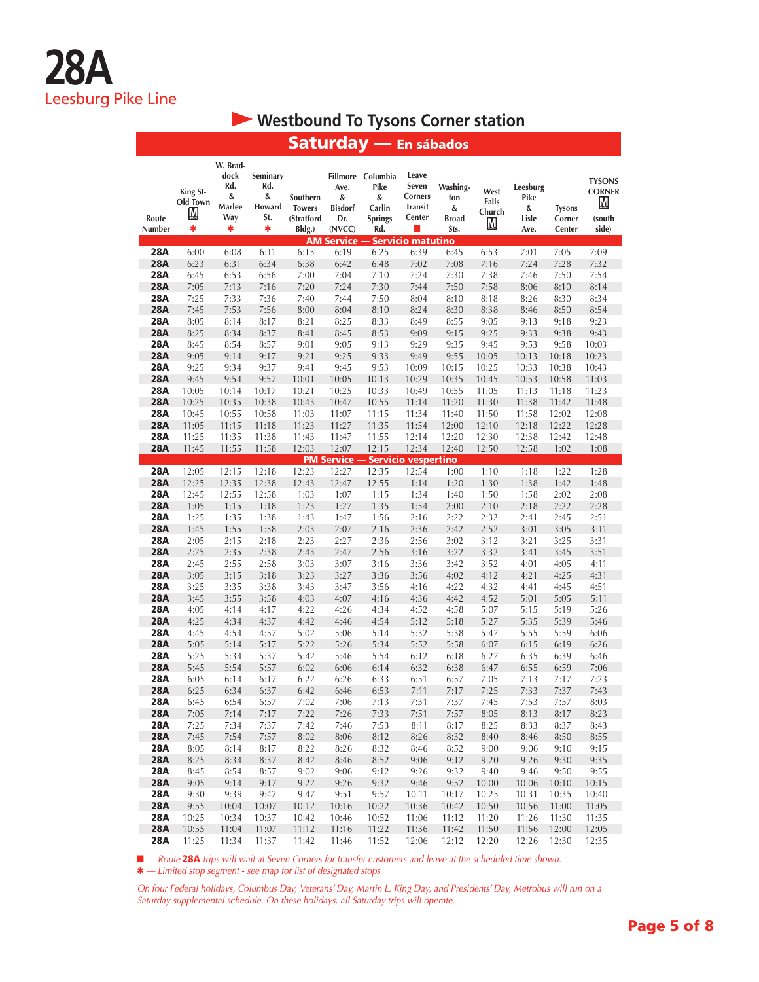## **• Westbound To Tysons Corner station**

| Route<br>Number          | King St-<br>Old Town<br>М<br>* | W. Brad-<br>dock<br>Rd.<br>&<br>Marlee<br>Way<br>* | Seminary<br>Rd.<br>&<br>Howard<br>St.<br>* | Southern<br><b>Towers</b><br>(Stratford<br>Bldg.) | Ave.<br>&<br><b>Bisdorf</b><br>Dr.<br>(NVCC) | Fillmore Columbia<br>Pike<br>&<br>Carlin<br><b>Springs</b><br>Rd. | Leave<br>Seven<br><b>Corners</b><br><b>Transit</b><br>Center | Washing-<br>ton<br>&<br><b>Broad</b><br>Sts. | West<br>Falls<br>Church<br>M | Leesburg<br>Pike<br>&<br>Lisle<br>Ave. | <b>Tysons</b><br>Corner<br>Center | <b>TYSONS</b><br><b>CORNER</b><br>M<br>(south<br>side) |
|--------------------------|--------------------------------|----------------------------------------------------|--------------------------------------------|---------------------------------------------------|----------------------------------------------|-------------------------------------------------------------------|--------------------------------------------------------------|----------------------------------------------|------------------------------|----------------------------------------|-----------------------------------|--------------------------------------------------------|
|                          |                                |                                                    |                                            |                                                   | <b>AM Service --</b>                         |                                                                   | - Servicio matutino                                          |                                              |                              |                                        |                                   |                                                        |
| <b>28A</b>               | 6:00                           | 6:08                                               | 6:11                                       | 6:15                                              | 6:19                                         | 6:25                                                              | 6:39                                                         | 6:45                                         | 6:53                         | 7:01                                   | 7:05                              | 7:09                                                   |
| <b>28A</b>               | 6:23                           | 6:31                                               | 6:34                                       | 6:38                                              | 6:42                                         | 6:48                                                              | 7:02                                                         | 7:08                                         | 7:16                         | 7:24                                   | 7:28                              | 7:32                                                   |
| <b>28A</b>               | 6:45                           | 6:53                                               | 6:56                                       | 7:00                                              | 7:04                                         | 7:10                                                              | 7:24                                                         | 7:30                                         | 7:38                         | 7:46                                   | 7:50                              | 7:54                                                   |
| <b>28A</b>               | 7:05                           | 7:13                                               | 7:16                                       | 7:20                                              | 7:24                                         | 7:30                                                              | 7:44                                                         | 7:50                                         | 7:58                         | 8:06                                   | 8:10                              | 8:14                                                   |
| <b>28A</b>               | 7:25                           | 7:33                                               | 7:36                                       | 7:40                                              | 7:44                                         | 7:50                                                              | 8:04                                                         | 8:10                                         | 8:18                         | 8:26                                   | 8:30                              | 8:34                                                   |
| <b>28A</b>               | 7:45                           | 7:53                                               | 7:56                                       | 8:00                                              | 8:04                                         | 8:10                                                              | 8:24                                                         | 8:30                                         | 8:38                         | 8:46                                   | 8:50                              | 8:54                                                   |
| <b>28A</b>               | 8:05                           | 8:14                                               | 8:17                                       | 8:21                                              | 8:25                                         | 8:33                                                              | 8:49                                                         | 8:55                                         | 9:05                         | 9:13                                   | 9:18                              | 9:23                                                   |
| <b>28A</b>               | 8:25                           | 8:34                                               | 8:37                                       | 8:41                                              | 8:45                                         | 8:53                                                              | 9:09<br>9:29                                                 | 9:15                                         | 9:25                         | 9:33                                   | 9:38                              | 9:43                                                   |
| <b>28A</b><br><b>28A</b> | 8:45<br>9:05                   | 8:54<br>9:14                                       | 8:57<br>9:17                               | 9:01<br>9:21                                      | 9:05<br>9:25                                 | 9:13<br>9:33                                                      | 9:49                                                         | 9:35<br>9:55                                 | 9:45<br>10:05                | 9:53<br>10:13                          | 9:58                              | 10:03<br>10:23                                         |
| <b>28A</b>               | 9:25                           | 9:34                                               | 9:37                                       | 9:41                                              | 9:45                                         | 9:53                                                              | 10:09                                                        | 10:15                                        | 10:25                        | 10:33                                  | 10:18<br>10:38                    | 10:43                                                  |
| <b>28A</b>               | 9:45                           | 9:54                                               | 9:57                                       | 10:01                                             | 10:05                                        | 10:13                                                             | 10:29                                                        | 10:35                                        | 10:45                        | 10:53                                  | 10:58                             | 11:03                                                  |
| <b>28A</b>               | 10:05                          | 10:14                                              | 10:17                                      | 10:21                                             | 10:25                                        | 10:33                                                             | 10:49                                                        | 10:55                                        | 11:05                        | 11:13                                  | 11:18                             | 11:23                                                  |
| <b>28A</b>               | 10:25                          | 10:35                                              | 10:38                                      | 10:43                                             | 10:47                                        | 10:55                                                             | 11:14                                                        | 11:20                                        | 11:30                        | 11:38                                  | 11:42                             | 11:48                                                  |
| <b>28A</b>               | 10:45                          | 10:55                                              | 10:58                                      | 11:03                                             | 11:07                                        | 11:15                                                             | 11:34                                                        | 11:40                                        | 11:50                        | 11:58                                  | 12:02                             | 12:08                                                  |
| <b>28A</b>               | 11:05                          | 11:15                                              | 11:18                                      | 11:23                                             | 11:27                                        | 11:35                                                             | 11:54                                                        | 12:00                                        | 12:10                        | 12:18                                  | 12:22                             | 12:28                                                  |
| <b>28A</b>               | 11:25                          | 11:35                                              | 11:38                                      | 11:43                                             | 11:47                                        | 11:55                                                             | 12:14                                                        | 12:20                                        | 12:30                        | 12:38                                  | 12:42                             | 12:48                                                  |
| <b>28A</b>               | 11:45                          | 11:55                                              | 11:58                                      | 12:03                                             | 12:07                                        | 12:15                                                             | 12:34                                                        | 12:40                                        | 12:50                        | 12:58                                  | 1:02                              | 1:08                                                   |
|                          |                                |                                                    |                                            |                                                   |                                              | <b>PM Service - Servicio vespertino</b>                           |                                                              |                                              |                              |                                        |                                   |                                                        |
| <b>28A</b>               | 12:05                          | 12:15                                              | 12:18                                      | 12:23                                             | 12:27                                        | 12:35                                                             | 12:54                                                        | 1:00                                         | 1:10                         | 1:18                                   | 1:22                              | 1:28                                                   |
| <b>28A</b>               | 12:25                          | 12:35                                              | 12:38                                      | 12:43                                             | 12:47                                        | 12:55                                                             | 1:14                                                         | 1:20                                         | 1:30                         | 1:38                                   | 1:42                              | 1:48                                                   |
| 28A                      | 12:45                          | 12:55                                              | 12:58                                      | 1:03                                              | 1:07                                         | 1:15                                                              | 1:34                                                         | 1:40                                         | 1:50                         | 1:58                                   | 2:02                              | 2:08                                                   |
| <b>28A</b>               | 1:05                           | 1:15                                               | 1:18                                       | 1:23                                              | 1:27                                         | 1:35                                                              | 1:54                                                         | 2:00                                         | 2:10                         | 2:18                                   | 2:22                              | 2:28                                                   |
| <b>28A</b>               | 1:25                           | 1:35                                               | 1:38                                       | 1:43                                              | 1:47                                         | 1:56                                                              | 2:16                                                         | 2:22                                         | 2:32                         | 2:41                                   | 2:45                              | 2:51                                                   |
| <b>28A</b>               | 1:45                           | 1:55                                               | 1:58                                       | 2:03                                              | 2:07                                         | 2:16                                                              | 2:36                                                         | 2:42                                         | 2:52                         | 3:01                                   | 3:05                              | 3:11                                                   |
| <b>28A</b>               | 2:05                           | 2:15                                               | 2:18                                       | 2:23                                              | 2:27                                         | 2:36                                                              | 2:56                                                         | 3:02                                         | 3:12                         | 3:21                                   | 3:25                              | 3:31                                                   |
| <b>28A</b>               | 2:25                           | 2:35                                               | 2:38                                       | 2:43                                              | 2:47                                         | 2:56                                                              | 3:16                                                         | 3:22                                         | 3:32                         | 3:41                                   | 3:45                              | 3:51                                                   |
| <b>28A</b>               | 2:45                           | 2:55                                               | 2:58                                       | 3:03                                              | 3:07                                         | 3:16                                                              | 3:36                                                         | 3:42                                         | 3:52                         | 4:01                                   | 4:05                              | 4:11                                                   |
| <b>28A</b>               | 3:05                           | 3:15                                               | 3:18                                       | 3:23                                              | 3:27                                         | 3:36                                                              | 3:56                                                         | 4:02                                         | 4:12                         | 4:21                                   | 4:25                              | 4:31                                                   |
| <b>28A</b>               | 3:25                           | 3:35                                               | 3:38                                       | 3:43                                              | 3:47                                         | 3:56                                                              | 4:16                                                         | 4:22                                         | 4:32                         | 4:41                                   | 4:45                              | 4:51                                                   |
| <b>28A</b>               | 3:45                           | 3:55                                               | 3:58                                       | 4:03                                              | 4:07                                         | 4:16                                                              | 4:36                                                         | 4:42                                         | 4:52                         | 5:01                                   | 5:05                              | 5:11                                                   |
| 28A                      | 4:05                           | 4:14                                               | 4:17                                       | 4:22                                              | 4:26                                         | 4:34                                                              | 4:52                                                         | 4:58                                         | 5:07                         | 5:15                                   | 5:19                              | 5:26                                                   |
| <b>28A</b>               | 4:25                           | 4:34                                               | 4:37                                       | 4:42                                              | 4:46                                         | 4:54                                                              | 5:12                                                         | 5:18                                         | 5:27                         | 5:35                                   | 5:39                              | 5:46                                                   |
| <b>28A</b>               | 4:45                           | 4:54                                               | 4:57<br>5:17                               | 5:02<br>5:22                                      | 5:06                                         | 5:14                                                              | 5:32                                                         | 5:38                                         | 5:47                         | 5:55                                   | 5:59                              | 6:06                                                   |
| <b>28A</b><br><b>28A</b> | 5:05<br>5:25                   | 5:14<br>5:34                                       | 5:37                                       | 5:42                                              | 5:26<br>5:46                                 | 5:34<br>5:54                                                      | 5:52<br>6:12                                                 | 5:58<br>6:18                                 | 6:07<br>6:27                 | 6:15<br>6:35                           | 6:19<br>6:39                      | 6:26<br>6:46                                           |
| <b>28A</b>               | 5:45                           | 5:54                                               | 5:57                                       | 6:02                                              | 6:06                                         | 6:14                                                              | 6:32                                                         | 6:38                                         | 6:47                         | 6:55                                   | 6:59                              | 7:06                                                   |
| <b>28A</b>               | 6:05                           | 6:14                                               | 6:17                                       | 6:22                                              | 6:26                                         | 6:33                                                              | 6:51                                                         | 6:57                                         | 7:05                         | 7:13                                   | 7:17                              | 7:23                                                   |
| <b>28A</b>               | 6:25                           | 6:34                                               | 6:37                                       | 6:42                                              | 6:46                                         | 6:53                                                              | 7:11                                                         | 7:17                                         | 7:25                         | 7:33                                   | 7:37                              | 7:43                                                   |
| 28A                      | 6:45                           | 6:54                                               | 6:57                                       | 7:02                                              | 7:06                                         | 7:13                                                              | 7:31                                                         | 7:37                                         | 7:45                         | 7:53                                   | 7:57                              | 8:03                                                   |
| <b>28A</b>               | 7:05                           | 7:14                                               | 7:17                                       | 7:22                                              | 7:26                                         | 7:33                                                              | 7:51                                                         | 7:57                                         | 8:05                         | 8:13                                   | 8:17                              | 8:23                                                   |
| 28A                      | 7:25                           | 7:34                                               | 7:37                                       | 7:42                                              | 7:46                                         | 7:53                                                              | 8:11                                                         | 8:17                                         | 8:25                         | 8:33                                   | 8:37                              | 8:43                                                   |
| <b>28A</b>               | 7:45                           | 7:54                                               | 7:57                                       | 8:02                                              | 8:06                                         | 8:12                                                              | 8:26                                                         | 8:32                                         | 8:40                         | 8:46                                   | 8:50                              | 8:55                                                   |
| <b>28A</b>               | 8:05                           | 8:14                                               | 8:17                                       | 8:22                                              | 8:26                                         | 8:32                                                              | 8:46                                                         | 8:52                                         | 9:00                         | 9:06                                   | 9:10                              | 9:15                                                   |
| <b>28A</b>               | 8:25                           | 8:34                                               | 8:37                                       | 8:42                                              | 8:46                                         | 8:52                                                              | 9:06                                                         | 9:12                                         | 9:20                         | 9:26                                   | 9:30                              | 9:35                                                   |
| 28A                      | 8:45                           | 8:54                                               | 8:57                                       | 9:02                                              | 9:06                                         | 9:12                                                              | 9:26                                                         | 9:32                                         | 9:40                         | 9:46                                   | 9:50                              | 9:55                                                   |
| <b>28A</b>               | 9:05                           | 9:14                                               | 9:17                                       | 9:22                                              | 9:26                                         | 9:32                                                              | 9:46                                                         | 9:52                                         | 10:00                        | 10:06                                  | 10:10                             | 10:15                                                  |
| <b>28A</b>               | 9:30                           | 9:39                                               | 9:42                                       | 9:47                                              | 9:51                                         | 9:57                                                              | 10:11                                                        | 10:17                                        | 10:25                        | 10:31                                  | 10:35                             | 10:40                                                  |
| <b>28A</b>               | 9:55                           | 10:04                                              | 10:07                                      | 10:12                                             | 10:16                                        | 10:22                                                             | 10:36                                                        | 10:42                                        | 10:50                        | 10:56                                  | 11:00                             | 11:05                                                  |
| <b>28A</b>               | 10:25                          | 10:34                                              | 10:37                                      | 10:42                                             | 10:46                                        | 10:52                                                             | 11:06                                                        | 11:12                                        | 11:20                        | 11:26                                  | 11:30                             | 11:35                                                  |
| <b>28A</b>               | 10:55                          | 11:04                                              | 11:07                                      | 11:12                                             | 11:16                                        | 11:22                                                             | 11:36                                                        | 11:42                                        | 11:50                        | 11:56                                  | 12:00                             | 12:05                                                  |
| <b>28A</b>               | 11:25                          | 11:34                                              | 11:37                                      | 11:42                                             | 11:46                                        | 11:52                                                             | 12:06                                                        | 12:12                                        | 12:20                        | 12:26                                  | 12:30                             | 12:35                                                  |

### Saturday — En sábados

■ — Route 28A trips will wait at Seven Corners for transfer customers and leave at the scheduled time shown.

Q *— Limited stop segment - see map for list of designated stops*

*On four Federal holidays, Columbus Day, Veterans' Day, Martin L. King Day, and Presidents' Day, Metrobus will run on a Saturday supplemental schedule. On these holidays, all Saturday trips will operate.*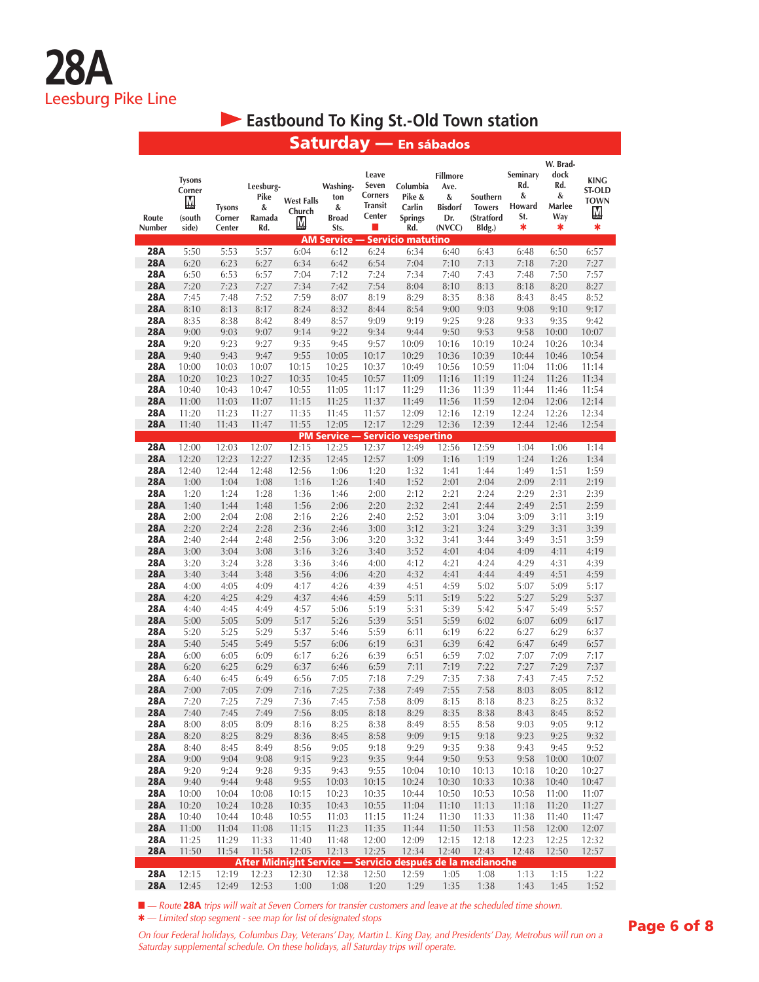### **Eastbound To King St.-Old Town station**

|                          |                                                 |                                   |                                         |                                  |                                              |                                                       | Saturday — En sábados                                      |                                                                 |                                                   |                                            |                                                    |                                                       |
|--------------------------|-------------------------------------------------|-----------------------------------|-----------------------------------------|----------------------------------|----------------------------------------------|-------------------------------------------------------|------------------------------------------------------------|-----------------------------------------------------------------|---------------------------------------------------|--------------------------------------------|----------------------------------------------------|-------------------------------------------------------|
| Route<br>Number          | <b>Tysons</b><br>Corner<br>М<br>(south<br>side) | <b>Tysons</b><br>Corner<br>Center | Leesburg-<br>Pike<br>&<br>Ramada<br>Rd. | <b>West Falls</b><br>Church<br>M | Washing-<br>ton<br>&<br><b>Broad</b><br>Sts. | Leave<br>Seven<br>Corners<br><b>Transit</b><br>Center | Columbia<br>Pike &<br>Carlin<br><b>Springs</b><br>Rd.      | <b>Fillmore</b><br>Ave.<br>&<br><b>Bisdorf</b><br>Dr.<br>(NVCC) | Southern<br><b>Towers</b><br>(Stratford<br>Bldg.) | Seminary<br>Rd.<br>&<br>Howard<br>St.<br>∗ | W. Brad-<br>dock<br>Rd.<br>&<br>Marlee<br>Way<br>* | <b>KING</b><br><b>ST-OLD</b><br><b>TOWN</b><br>M<br>* |
|                          |                                                 |                                   |                                         |                                  | <b>AM Service -</b>                          |                                                       | <b>Servicio matutino</b>                                   |                                                                 |                                                   |                                            |                                                    |                                                       |
| <b>28A</b>               | 5:50                                            | 5:53                              | 5:57                                    | 6:04                             | 6:12                                         | 6:24                                                  | 6:34                                                       | 6:40                                                            | 6:43                                              | 6:48                                       | 6:50                                               | 6:57                                                  |
| <b>28A</b>               | 6:20                                            | 6:23                              | 6:27                                    | 6:34                             | 6:42                                         | 6:54                                                  | 7:04                                                       | 7:10                                                            | 7:13                                              | 7:18                                       | 7:20                                               | 7:27                                                  |
| <b>28A</b>               | 6:50                                            | 6:53                              | 6:57                                    | 7:04                             | 7:12                                         | 7:24                                                  | 7:34                                                       | 7:40                                                            | 7:43                                              | 7:48                                       | 7:50                                               | 7:57                                                  |
| <b>28A</b>               | 7:20                                            | 7:23                              | 7:27                                    | 7:34                             | 7:42                                         | 7:54                                                  | 8:04                                                       | 8:10                                                            | 8:13                                              | 8:18                                       | 8:20                                               | 8:27                                                  |
| 28A<br><b>28A</b>        | 7:45<br>8:10                                    | 7:48<br>8:13                      | 7:52<br>8:17                            | 7:59<br>8:24                     | 8:07<br>8:32                                 | 8:19<br>8:44                                          | 8:29<br>8:54                                               | 8:35<br>9:00                                                    | 8:38<br>9:03                                      | 8:43<br>9:08                               | 8:45<br>9:10                                       | 8:52<br>9:17                                          |
| <b>28A</b>               | 8:35                                            | 8:38                              | 8:42                                    | 8:49                             | 8:57                                         | 9:09                                                  | 9:19                                                       | 9:25                                                            | 9:28                                              | 9:33                                       | 9:35                                               | 9:42                                                  |
| <b>28A</b>               | 9:00                                            | 9:03                              | 9:07                                    | 9:14                             | 9:22                                         | 9:34                                                  | 9:44                                                       | 9:50                                                            | 9:53                                              | 9:58                                       | 10:00                                              | 10:07                                                 |
| <b>28A</b>               | 9:20                                            | 9:23                              | 9:27                                    | 9:35                             | 9:45                                         | 9:57                                                  | 10:09                                                      | 10:16                                                           | 10:19                                             | 10:24                                      | 10:26                                              | 10:34                                                 |
| <b>28A</b>               | 9:40                                            | 9:43                              | 9:47                                    | 9:55                             | 10:05                                        | 10:17                                                 | 10:29                                                      | 10:36                                                           | 10:39                                             | 10:44                                      | 10:46                                              | 10:54                                                 |
| 28A                      | 10:00                                           | 10:03                             | 10:07                                   | 10:15                            | 10:25                                        | 10:37                                                 | 10:49                                                      | 10:56                                                           | 10:59                                             | 11:04                                      | 11:06                                              | 11:14                                                 |
| <b>28A</b>               | 10:20                                           | 10:23                             | 10:27                                   | 10:35                            | 10:45                                        | 10:57                                                 | 11:09                                                      | 11:16                                                           | 11:19                                             | 11:24                                      | 11:26                                              | 11:34                                                 |
| 28A                      | 10:40                                           | 10:43                             | 10:47                                   | 10:55                            | 11:05                                        | 11:17                                                 | 11:29                                                      | 11:36                                                           | 11:39                                             | 11:44                                      | 11:46                                              | 11:54                                                 |
| <b>28A</b>               | 11:00                                           | 11:03                             | 11:07                                   | 11:15                            | 11:25                                        | 11:37                                                 | 11:49                                                      | 11:56                                                           | 11:59                                             | 12:04                                      | 12:06                                              | 12:14                                                 |
| 28A<br><b>28A</b>        | 11:20                                           | 11:23                             | 11:27                                   | 11:35<br>11:55                   | 11:45<br>12:05                               | 11:57<br>12:17                                        | 12:09<br>12:29                                             | 12:16<br>12:36                                                  | 12:19<br>12:39                                    | 12:24                                      | 12:26                                              | 12:34<br>12:54                                        |
|                          | 11:40                                           | 11:43                             | 11:47                                   |                                  |                                              |                                                       | <b>PM Service - Servicio vespertino</b>                    |                                                                 |                                                   | 12:44                                      | 12:46                                              |                                                       |
| 28A                      | 12:00                                           | 12:03                             | 12:07                                   | 12:15                            | 12:25                                        | 12:37                                                 | 12:49                                                      | 12:56                                                           | 12:59                                             | 1:04                                       | 1:06                                               | 1:14                                                  |
| <b>28A</b>               | 12:20                                           | 12:23                             | 12:27                                   | 12:35                            | 12:45                                        | 12:57                                                 | 1:09                                                       | 1:16                                                            | 1:19                                              | 1:24                                       | 1:26                                               | 1:34                                                  |
| 28A                      | 12:40                                           | 12:44                             | 12:48                                   | 12:56                            | 1:06                                         | 1:20                                                  | 1:32                                                       | 1:41                                                            | 1:44                                              | 1:49                                       | 1:51                                               | 1:59                                                  |
| <b>28A</b>               | 1:00                                            | 1:04                              | 1:08                                    | 1:16                             | 1:26                                         | 1:40                                                  | 1:52                                                       | 2:01                                                            | 2:04                                              | 2:09                                       | 2:11                                               | 2:19                                                  |
| 28A                      | 1:20                                            | 1:24                              | 1:28                                    | 1:36                             | 1:46                                         | 2:00                                                  | 2:12                                                       | 2:21                                                            | 2:24                                              | 2:29                                       | 2:31                                               | 2:39                                                  |
| <b>28A</b>               | 1:40                                            | 1:44                              | 1:48                                    | 1:56                             | 2:06                                         | 2:20                                                  | 2:32                                                       | 2:41                                                            | 2:44                                              | 2:49                                       | 2:51                                               | 2:59                                                  |
| 28A                      | 2:00                                            | 2:04                              | 2:08                                    | 2:16                             | 2:26                                         | 2:40                                                  | 2:52                                                       | 3:01                                                            | 3:04                                              | 3:09                                       | 3:11                                               | 3:19                                                  |
| <b>28A</b><br><b>28A</b> | 2:20                                            | 2:24                              | 2:28                                    | 2:36                             | 2:46                                         | 3:00                                                  | 3:12                                                       | 3:21                                                            | 3:24                                              | 3:29                                       | 3:31                                               | 3:39                                                  |
| <b>28A</b>               | 2:40<br>3:00                                    | 2:44<br>3:04                      | 2:48<br>3:08                            | 2:56<br>3:16                     | 3:06<br>3:26                                 | 3:20<br>3:40                                          | 3:32<br>3:52                                               | 3:41<br>4:01                                                    | 3:44<br>4:04                                      | 3:49<br>4:09                               | 3:51<br>4:11                                       | 3:59<br>4:19                                          |
| 28A                      | 3:20                                            | 3:24                              | 3:28                                    | 3:36                             | 3:46                                         | 4:00                                                  | 4:12                                                       | 4:21                                                            | 4:24                                              | 4:29                                       | 4:31                                               | 4:39                                                  |
| <b>28A</b>               | 3:40                                            | 3:44                              | 3:48                                    | 3:56                             | 4:06                                         | 4:20                                                  | 4:32                                                       | 4:41                                                            | 4:44                                              | 4:49                                       | 4:51                                               | 4:59                                                  |
| <b>28A</b>               | 4:00                                            | 4:05                              | 4:09                                    | 4:17                             | 4:26                                         | 4:39                                                  | 4:51                                                       | 4:59                                                            | 5:02                                              | 5:07                                       | 5:09                                               | 5:17                                                  |
| <b>28A</b>               | 4:20                                            | 4:25                              | 4:29                                    | 4:37                             | 4:46                                         | 4:59                                                  | 5:11                                                       | 5:19                                                            | 5:22                                              | 5:27                                       | 5:29                                               | 5:37                                                  |
| <b>28A</b>               | 4:40                                            | 4:45                              | 4:49                                    | 4:57                             | 5:06                                         | 5:19                                                  | 5:31                                                       | 5:39                                                            | 5:42                                              | 5:47                                       | 5:49                                               | 5:57                                                  |
| <b>28A</b>               | 5:00                                            | 5:05                              | 5:09                                    | 5:17                             | 5:26                                         | 5:39                                                  | 5:51                                                       | 5:59                                                            | 6:02                                              | 6:07                                       | 6:09                                               | 6:17                                                  |
| 28A                      | 5:20                                            | 5:25                              | 5:29                                    | 5:37                             | 5:46                                         | 5:59                                                  | 6:11                                                       | 6:19                                                            | 6:22                                              | 6:27                                       | 6:29                                               | 6:37                                                  |
| <b>28A</b>               | 5:40                                            | 5:45                              | 5:49                                    | 5:57                             | 6:06                                         | 6:19                                                  | 6:31                                                       | 6:39                                                            | 6:42                                              | 6:47                                       | 6:49                                               | 6:57                                                  |
| 28A<br><b>28A</b>        | 6:00<br>6:20                                    | 6:05<br>6:25                      | 6:09<br>6:29                            | 6:17<br>6:37                     | 6:26<br>6:46                                 | 6:39<br>6:59                                          | 6:51<br>7:11                                               | 6:59<br>7:19                                                    | 7:02<br>7:22                                      | 7:07<br>7:27                               | 7:09<br>7:29                                       | 7:17<br>7:37                                          |
| <b>28A</b>               | 6:40                                            | 6:45                              | 6:49                                    | 6:56                             | 7:05                                         | 7:18                                                  | 7:29                                                       | 7:35                                                            | 7:38                                              | 7:43                                       | 7:45                                               | 7:52                                                  |
| <b>28A</b>               | 7:00                                            | 7:05                              | 7:09                                    | 7:16                             | 7:25                                         | 7:38                                                  | 7:49                                                       | 7:55                                                            | 7:58                                              | 8:03                                       | 8:05                                               | 8:12                                                  |
| <b>28A</b>               | 7:20                                            | 7:25                              | 7:29                                    | 7:36                             | 7:45                                         | 7:58                                                  | 8:09                                                       | 8:15                                                            | 8:18                                              | 8:23                                       | 8:25                                               | 8:32                                                  |
| <b>28A</b>               | 7:40                                            | 7:45                              | 7:49                                    | 7:56                             | 8:05                                         | 8:18                                                  | 8:29                                                       | 8:35                                                            | 8:38                                              | 8:43                                       | 8:45                                               | 8:52                                                  |
| 28A                      | 8:00                                            | 8:05                              | 8:09                                    | 8:16                             | 8:25                                         | 8:38                                                  | 8:49                                                       | 8:55                                                            | 8:58                                              | 9:03                                       | 9:05                                               | 9:12                                                  |
| <b>28A</b>               | 8:20                                            | 8:25                              | 8:29                                    | 8:36                             | 8:45                                         | 8:58                                                  | 9:09                                                       | 9:15                                                            | 9:18                                              | 9:23                                       | 9:25                                               | 9:32                                                  |
| <b>28A</b>               | 8:40                                            | 8:45                              | 8:49                                    | 8:56                             | 9:05                                         | 9:18                                                  | 9:29                                                       | 9:35                                                            | 9:38                                              | 9:43                                       | 9:45                                               | 9:52                                                  |
| <b>28A</b>               | 9:00                                            | 9:04                              | 9:08                                    | 9:15                             | 9:23                                         | 9:35                                                  | 9:44                                                       | 9:50                                                            | 9:53                                              | 9:58                                       | 10:00                                              | 10:07                                                 |
| 28A                      | 9:20                                            | 9:24                              | 9:28                                    | 9:35                             | 9:43                                         | 9:55                                                  | 10:04                                                      | 10:10                                                           | 10:13                                             | 10:18                                      | 10:20                                              | 10:27                                                 |
| <b>28A</b><br>28A        | 9:40<br>10:00                                   | 9:44<br>10:04                     | 9:48<br>10:08                           | 9:55<br>10:15                    | 10:03<br>10:23                               | 10:15<br>10:35                                        | 10:24<br>10:44                                             | 10:30<br>10:50                                                  | 10:33<br>10:53                                    | 10:38<br>10:58                             | 10:40<br>11:00                                     | 10:47<br>11:07                                        |
| <b>28A</b>               | 10:20                                           | 10:24                             | 10:28                                   | 10:35                            | 10:43                                        | 10:55                                                 | 11:04                                                      | 11:10                                                           | 11:13                                             | 11:18                                      | 11:20                                              | 11:27                                                 |
| 28A                      | 10:40                                           | 10:44                             | 10:48                                   | 10:55                            | 11:03                                        | 11:15                                                 | 11:24                                                      | 11:30                                                           | 11:33                                             | 11:38                                      | 11:40                                              | 11:47                                                 |
| <b>28A</b>               | 11:00                                           | 11:04                             | 11:08                                   | 11:15                            | 11:23                                        | 11:35                                                 | 11:44                                                      | 11:50                                                           | 11:53                                             | 11:58                                      | 12:00                                              | 12:07                                                 |
| 28A                      | 11:25                                           | 11:29                             | 11:33                                   | 11:40                            | 11:48                                        | 12:00                                                 | 12:09                                                      | 12:15                                                           | 12:18                                             | 12:23                                      | 12:25                                              | 12:32                                                 |
| <b>28A</b>               | 11:50                                           | 11:54                             | 11:58                                   | 12:05                            | 12:13                                        | 12:25                                                 | 12:34                                                      | 12:40                                                           | 12:43                                             | 12:48                                      | 12:50                                              | 12:57                                                 |
|                          |                                                 |                                   |                                         |                                  |                                              |                                                       | After Midnight Service - Servicio después de la medianoche |                                                                 |                                                   |                                            |                                                    |                                                       |
| 28A<br><b>28A</b>        | 12:15<br>12:45                                  | 12:19<br>12:49                    | 12:23<br>12:53                          | 12:30<br>1:00                    | 12:38<br>1:08                                | 12:50<br>1:20                                         | 12:59<br>1:29                                              | 1:05<br>1:35                                                    | 1:08<br>1:38                                      | 1:13<br>1:43                               | 1:15<br>1:45                                       | 1:22<br>1:52                                          |

■ — Route 28A trips will wait at Seven Corners for transfer customers and leave at the scheduled time shown. Q *— Limited stop segment - see map for list of designated stops*

*On four Federal holidays, Columbus Day, Veterans' Day, Martin L. King Day, and Presidents' Day, Metrobus will run on a Saturday supplemental schedule. On these holidays, all Saturday trips will operate.*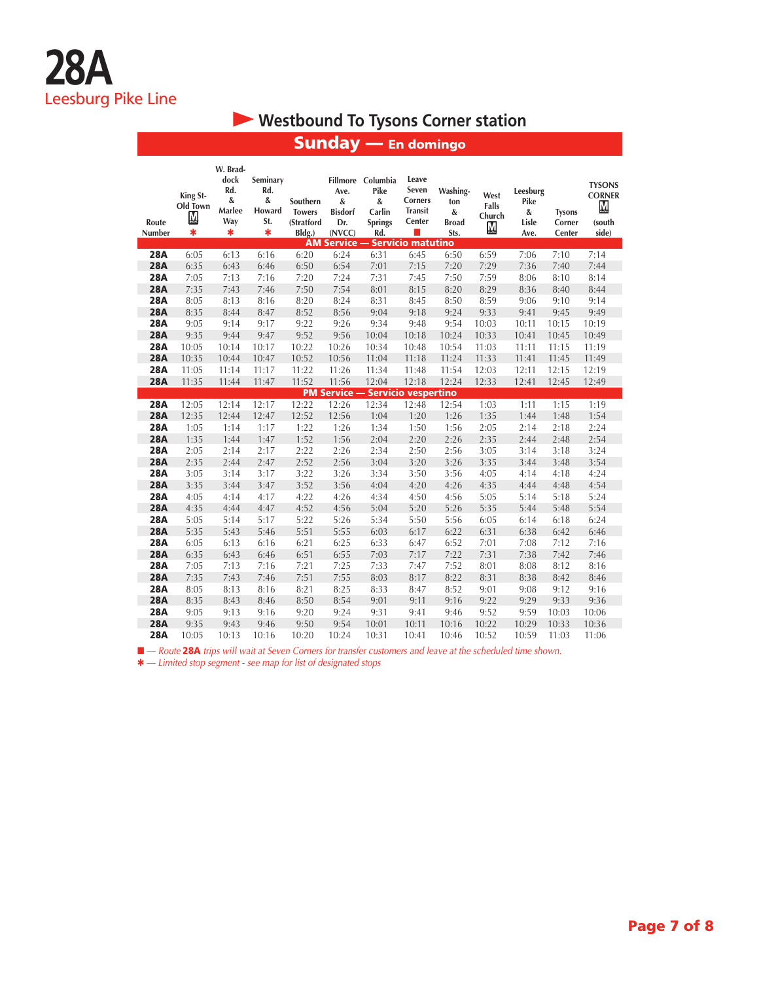## **Westbound To Tysons Corner station**

| Route<br>Number | King St-<br>Old Town<br><u>M</u><br>$\ast$ | W. Brad-<br>dock<br>Rd.<br>&<br>Marlee<br>Way<br>$\ast$ | Seminary<br>Rd.<br>$\&$<br>Howard<br>St.<br>$\ast$ | Southern<br><b>Towers</b><br>(Stratford<br>Bldg.) | Ave.<br>&<br><b>Bisdorf</b><br>Dr.<br>(NVCC) | Fillmore Columbia<br>Pike<br>&<br>Carlin<br><b>Springs</b><br>Rd. | Leave<br>Seven<br><b>Corners</b><br><b>Transit</b><br>Center | Washing-<br>ton<br>&<br><b>Broad</b><br>Sts. | West<br>Falls<br>Church<br>$\underline{\mathsf{M}}$ | Leesburg<br>Pike<br>&<br>Lisle<br>Ave. | <b>Tysons</b><br>Corner<br>Center | <b>TYSONS</b><br><b>CORNER</b><br>M<br>(south<br>side) |
|-----------------|--------------------------------------------|---------------------------------------------------------|----------------------------------------------------|---------------------------------------------------|----------------------------------------------|-------------------------------------------------------------------|--------------------------------------------------------------|----------------------------------------------|-----------------------------------------------------|----------------------------------------|-----------------------------------|--------------------------------------------------------|
|                 |                                            |                                                         |                                                    |                                                   |                                              | <b>AM Service - Servicio matutino</b>                             |                                                              |                                              |                                                     |                                        |                                   |                                                        |
| <b>28A</b>      | 6:05                                       | 6:13                                                    | 6:16                                               | 6:20                                              | 6:24                                         | 6:31                                                              | 6:45                                                         | 6:50                                         | 6:59                                                | 7:06                                   | 7:10                              | 7:14                                                   |
| <b>28A</b>      | 6:35                                       | 6:43                                                    | 6:46                                               | 6:50                                              | 6:54                                         | 7:01                                                              | 7:15                                                         | 7:20                                         | 7:29                                                | 7:36                                   | 7:40                              | 7:44                                                   |
| <b>28A</b>      | 7:05                                       | 7:13                                                    | 7:16                                               | 7:20                                              | 7:24                                         | 7:31                                                              | 7:45                                                         | 7:50                                         | 7:59                                                | 8:06                                   | 8:10                              | 8:14                                                   |
| <b>28A</b>      | 7:35                                       | 7:43                                                    | 7:46                                               | 7:50                                              | 7:54                                         | 8:01                                                              | 8:15                                                         | 8:20                                         | 8:29                                                | 8:36                                   | 8:40                              | 8:44                                                   |
| <b>28A</b>      | 8:05                                       | 8:13                                                    | 8:16                                               | 8:20                                              | 8:24                                         | 8:31                                                              | 8:45                                                         | 8:50                                         | 8:59                                                | 9:06                                   | 9:10                              | 9:14                                                   |
| <b>28A</b>      | 8:35                                       | 8:44                                                    | 8:47                                               | 8:52                                              | 8:56                                         | 9:04                                                              | 9:18                                                         | 9:24                                         | 9:33                                                | 9:41                                   | 9:45                              | 9:49                                                   |
| <b>28A</b>      | 9:05                                       | 9:14                                                    | 9:17                                               | 9:22                                              | 9:26                                         | 9:34                                                              | 9:48                                                         | 9:54                                         | 10:03                                               | 10:11                                  | 10:15                             | 10:19                                                  |
| <b>28A</b>      | 9:35                                       | 9:44                                                    | 9:47                                               | 9:52                                              | 9:56                                         | 10:04                                                             | 10:18                                                        | 10:24                                        | 10:33                                               | 10:41                                  | 10:45                             | 10:49                                                  |
| <b>28A</b>      | 10:05                                      | 10:14                                                   | 10:17                                              | 10:22                                             | 10:26                                        | 10:34                                                             | 10:48                                                        | 10:54                                        | 11:03                                               | 11:11                                  | 11:15                             | 11:19                                                  |
| <b>28A</b>      | 10:35                                      | 10:44                                                   | 10:47                                              | 10:52                                             | 10:56                                        | 11:04                                                             | 11:18                                                        | 11:24                                        | 11:33                                               | 11:41                                  | 11:45                             | 11:49                                                  |
| <b>28A</b>      | 11:05                                      | 11:14                                                   | 11:17                                              | 11:22                                             | 11:26                                        | 11:34                                                             | 11:48                                                        | 11:54                                        | 12:03                                               | 12:11                                  | 12:15                             | 12:19                                                  |
| <b>28A</b>      | 11:35                                      | 11:44                                                   | 11:47                                              | 11:52                                             | 11:56                                        | 12:04                                                             | 12:18                                                        | 12:24                                        | 12:33                                               | 12:41                                  | 12:45                             | 12:49                                                  |
| <b>28A</b>      | 12:05                                      | 12:14                                                   | 12:17                                              | 12:22                                             | 12:26                                        | <b>PM Service - Servicio vespertino</b><br>12:34                  | 12:48                                                        | 12:54                                        | 1:03                                                | 1:11                                   | 1:15                              | 1:19                                                   |
| <b>28A</b>      | 12:35                                      | 12:44                                                   | 12:47                                              | 12:52                                             |                                              |                                                                   |                                                              |                                              |                                                     | 1:44                                   | 1:48                              |                                                        |
| <b>28A</b>      |                                            |                                                         | 1:17                                               | 1:22                                              | 12:56<br>1:26                                | 1:04<br>1:34                                                      | 1:20<br>1:50                                                 | 1:26                                         | 1:35<br>2:05                                        | 2:14                                   | 2:18                              | 1:54                                                   |
| <b>28A</b>      | 1:05<br>1:35                               | 1:14<br>1:44                                            | 1:47                                               | 1:52                                              | 1:56                                         | 2:04                                                              | 2:20                                                         | 1:56<br>2:26                                 | 2:35                                                | 2:44                                   | 2:48                              | 2:24<br>2:54                                           |
| <b>28A</b>      | 2:05                                       | 2:14                                                    | 2:17                                               | 2:22                                              | 2:26                                         | 2:34                                                              |                                                              | 2:56                                         | 3:05                                                | 3:14                                   | 3:18                              | 3:24                                                   |
| <b>28A</b>      | 2:35                                       | 2:44                                                    | 2:47                                               | 2:52                                              | 2:56                                         | 3:04                                                              | 2:50<br>3:20                                                 | 3:26                                         | 3:35                                                | 3:44                                   | 3:48                              | 3:54                                                   |
| <b>28A</b>      | 3:05                                       | 3:14                                                    | 3:17                                               | 3:22                                              | 3:26                                         | 3:34                                                              | 3:50                                                         | 3:56                                         | 4:05                                                | 4:14                                   | 4:18                              | 4:24                                                   |
| <b>28A</b>      | 3:35                                       | 3:44                                                    | 3:47                                               | 3:52                                              | 3:56                                         | 4:04                                                              | 4:20                                                         | 4:26                                         | 4:35                                                | 4:44                                   | 4:48                              | 4:54                                                   |
| <b>28A</b>      | 4:05                                       | 4:14                                                    | 4:17                                               | 4:22                                              | 4:26                                         | 4:34                                                              | 4:50                                                         | 4:56                                         | 5:05                                                | 5:14                                   | 5:18                              | 5:24                                                   |
| <b>28A</b>      | 4:35                                       | 4:44                                                    | 4:47                                               | 4:52                                              | 4:56                                         | 5:04                                                              | 5:20                                                         | 5:26                                         | 5:35                                                | 5:44                                   | 5:48                              | 5:54                                                   |
| <b>28A</b>      | 5:05                                       | 5:14                                                    | 5:17                                               | 5:22                                              | 5:26                                         | 5:34                                                              | 5:50                                                         | 5:56                                         | 6:05                                                | 6:14                                   | 6:18                              | 6:24                                                   |
| <b>28A</b>      | 5:35                                       | 5:43                                                    | 5:46                                               | 5:51                                              | 5:55                                         | 6:03                                                              | 6:17                                                         | 6:22                                         | 6:31                                                | 6:38                                   | 6:42                              | 6:46                                                   |
| <b>28A</b>      | 6:05                                       | 6:13                                                    | 6:16                                               | 6:21                                              | 6:25                                         | 6:33                                                              | 6:47                                                         | 6:52                                         | 7:01                                                | 7:08                                   | 7:12                              | 7:16                                                   |
| <b>28A</b>      | 6:35                                       | 6:43                                                    | 6:46                                               | 6:51                                              | 6:55                                         | 7:03                                                              | 7:17                                                         | 7:22                                         | 7:31                                                | 7:38                                   | 7:42                              | 7:46                                                   |
| <b>28A</b>      | 7:05                                       | 7:13                                                    | 7:16                                               | 7:21                                              | 7:25                                         | 7:33                                                              | 7:47                                                         | 7:52                                         | 8:01                                                | 8:08                                   | 8:12                              | 8:16                                                   |
| <b>28A</b>      | 7:35                                       | 7:43                                                    | 7:46                                               | 7:51                                              | 7:55                                         | 8:03                                                              | 8:17                                                         | 8:22                                         | 8:31                                                | 8:38                                   | 8:42                              | 8:46                                                   |
| <b>28A</b>      | 8:05                                       | 8:13                                                    | 8:16                                               | 8:21                                              | 8:25                                         | 8:33                                                              | 8:47                                                         | 8:52                                         | 9:01                                                | 9:08                                   | 9:12                              | 9:16                                                   |
| <b>28A</b>      | 8:35                                       | 8:43                                                    | 8:46                                               | 8:50                                              | 8:54                                         | 9:01                                                              | 9:11                                                         | 9:16                                         | 9:22                                                | 9:29                                   | 9:33                              | 9:36                                                   |
| <b>28A</b>      | 9:05                                       | 9:13                                                    | 9:16                                               | 9:20                                              | 9:24                                         | 9:31                                                              | 9:41                                                         | 9:46                                         | 9:52                                                | 9:59                                   | 10:03                             | 10:06                                                  |
| <b>28A</b>      | 9:35                                       | 9:43                                                    | 9:46                                               | 9:50                                              | 9:54                                         | 10:01                                                             | 10:11                                                        | 10:16                                        | 10:22                                               | 10:29                                  | 10:33                             | 10:36                                                  |
| 28A             | 10:05                                      | 10:13                                                   | 10:16                                              | 10:20                                             | 10:24                                        | 10:31                                                             | 10:41                                                        | 10:46                                        | 10:52                                               | 10:59                                  | 11:03                             | 11:06                                                  |

## Sunday — En domingo

■ — Route 28A trips will wait at Seven Corners for transfer customers and leave at the scheduled time shown.

Q *— Limited stop segment - see map for list of designated stops*